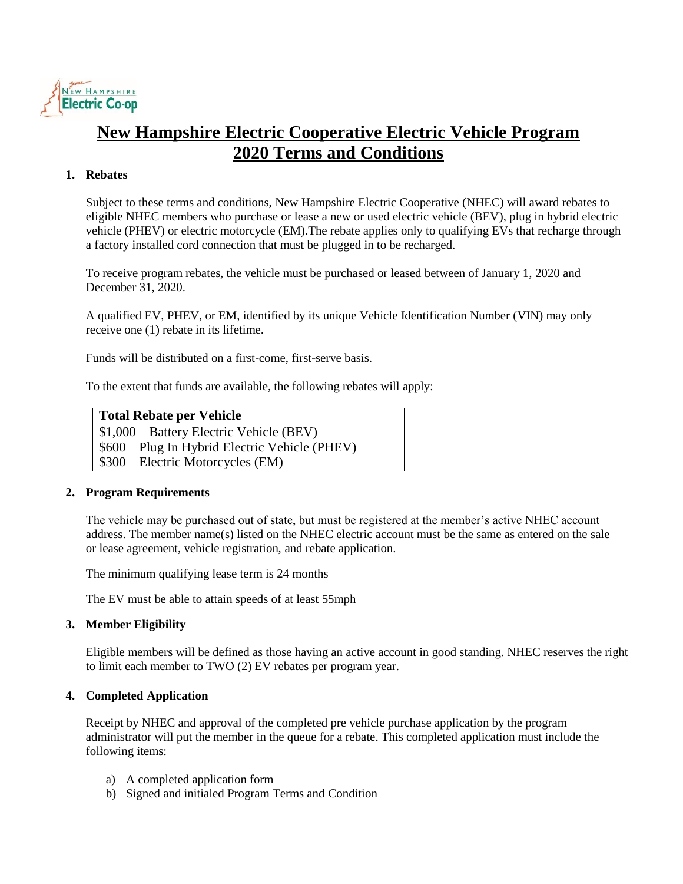

# **New Hampshire Electric Cooperative Electric Vehicle Program 2020 Terms and Conditions**

# **1. Rebates**

Subject to these terms and conditions, New Hampshire Electric Cooperative (NHEC) will award rebates to eligible NHEC members who purchase or lease a new or used electric vehicle (BEV), plug in hybrid electric vehicle (PHEV) or electric motorcycle (EM).The rebate applies only to qualifying EVs that recharge through a factory installed cord connection that must be plugged in to be recharged.

To receive program rebates, the vehicle must be purchased or leased between of January 1, 2020 and December 31, 2020.

A qualified EV, PHEV, or EM, identified by its unique Vehicle Identification Number (VIN) may only receive one (1) rebate in its lifetime.

Funds will be distributed on a first-come, first-serve basis.

To the extent that funds are available, the following rebates will apply:

| <b>Total Rebate per Vehicle</b> |  |
|---------------------------------|--|
|                                 |  |

\$1,000 – Battery Electric Vehicle (BEV)

\$600 – Plug In Hybrid Electric Vehicle (PHEV)

\$300 – Electric Motorcycles (EM)

# **2. Program Requirements**

The vehicle may be purchased out of state, but must be registered at the member's active NHEC account address. The member name(s) listed on the NHEC electric account must be the same as entered on the sale or lease agreement, vehicle registration, and rebate application.

The minimum qualifying lease term is 24 months

The EV must be able to attain speeds of at least 55mph

# **3. Member Eligibility**

Eligible members will be defined as those having an active account in good standing. NHEC reserves the right to limit each member to TWO (2) EV rebates per program year.

# **4. Completed Application**

Receipt by NHEC and approval of the completed pre vehicle purchase application by the program administrator will put the member in the queue for a rebate. This completed application must include the following items:

- a) A completed application form
- b) Signed and initialed Program Terms and Condition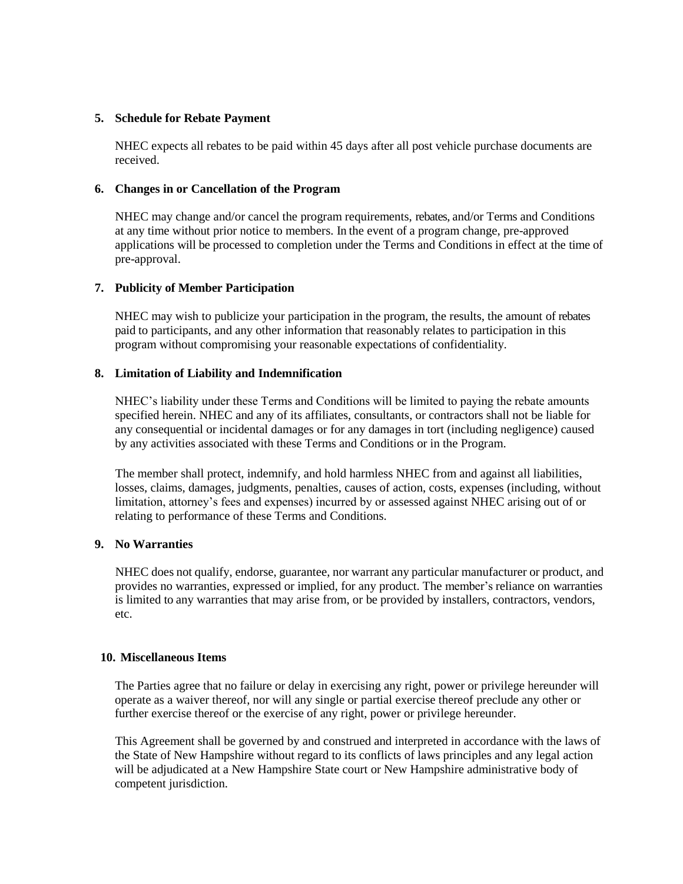## **5. Schedule for Rebate Payment**

NHEC expects all rebates to be paid within 45 days after all post vehicle purchase documents are received.

#### **6. Changes in or Cancellation of the Program**

NHEC may change and/or cancel the program requirements, rebates, and/or Terms and Conditions at any time without prior notice to members. In the event of a program change, pre-approved applications will be processed to completion under the Terms and Conditions in effect at the time of pre-approval.

## **7. Publicity of Member Participation**

NHEC may wish to publicize your participation in the program, the results, the amount of rebates paid to participants, and any other information that reasonably relates to participation in this program without compromising your reasonable expectations of confidentiality.

## **8. Limitation of Liability and Indemnification**

NHEC's liability under these Terms and Conditions will be limited to paying the rebate amounts specified herein. NHEC and any of its affiliates, consultants, or contractors shall not be liable for any consequential or incidental damages or for any damages in tort (including negligence) caused by any activities associated with these Terms and Conditions or in the Program.

The member shall protect, indemnify, and hold harmless NHEC from and against all liabilities, losses, claims, damages, judgments, penalties, causes of action, costs, expenses (including, without limitation, attorney's fees and expenses) incurred by or assessed against NHEC arising out of or relating to performance of these Terms and Conditions.

# **9. No Warranties**

NHEC does not qualify, endorse, guarantee, nor warrant any particular manufacturer or product, and provides no warranties, expressed or implied, for any product. The member's reliance on warranties is limited to any warranties that may arise from, or be provided by installers, contractors, vendors, etc.

# **10. Miscellaneous Items**

The Parties agree that no failure or delay in exercising any right, power or privilege hereunder will operate as a waiver thereof, nor will any single or partial exercise thereof preclude any other or further exercise thereof or the exercise of any right, power or privilege hereunder.

This Agreement shall be governed by and construed and interpreted in accordance with the laws of the State of New Hampshire without regard to its conflicts of laws principles and any legal action will be adjudicated at a New Hampshire State court or New Hampshire administrative body of competent jurisdiction.